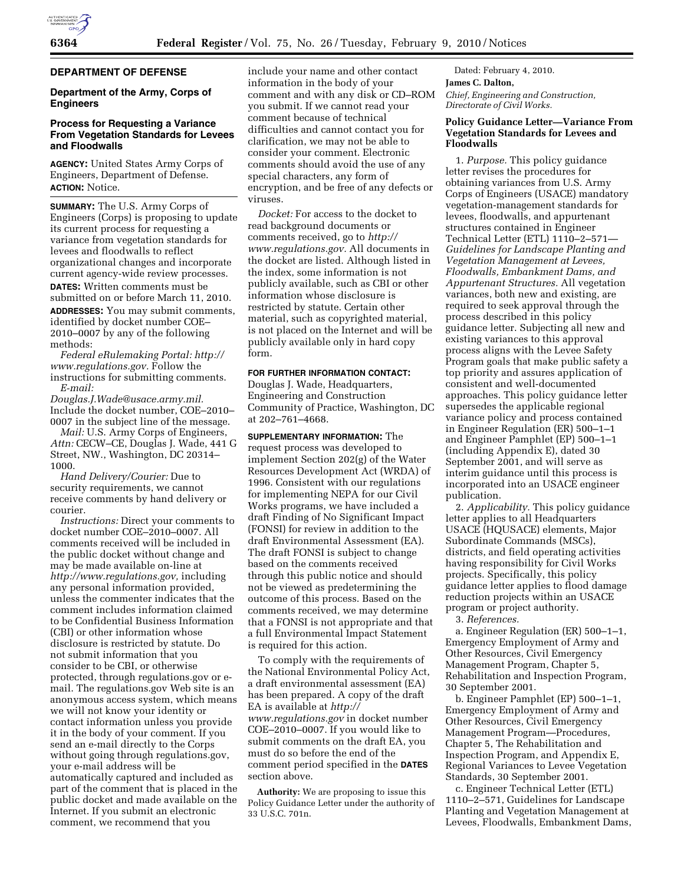# **DEPARTMENT OF DEFENSE**

## **Department of the Army, Corps of Engineers**

# **Process for Requesting a Variance From Vegetation Standards for Levees and Floodwalls**

**AGENCY:** United States Army Corps of Engineers, Department of Defense. **ACTION:** Notice.

**SUMMARY:** The U.S. Army Corps of Engineers (Corps) is proposing to update its current process for requesting a variance from vegetation standards for levees and floodwalls to reflect organizational changes and incorporate current agency-wide review processes.

**DATES:** Written comments must be submitted on or before March 11, 2010.

**ADDRESSES:** You may submit comments, identified by docket number COE– 2010–0007 by any of the following methods:

*Federal eRulemaking Portal: http:// www.regulations.gov.* Follow the instructions for submitting comments. *E-mail:* 

*Douglas.J.Wade@usace.army.mil.*  Include the docket number, COE–2010– 0007 in the subject line of the message.

*Mail:* U.S. Army Corps of Engineers, *Attn:* CECW–CE, Douglas J. Wade, 441 G Street, NW., Washington, DC 20314– 1000.

*Hand Delivery/Courier:* Due to security requirements, we cannot receive comments by hand delivery or courier.

*Instructions:* Direct your comments to docket number COE–2010–0007. All comments received will be included in the public docket without change and may be made available on-line at *http://www.regulations.gov,* including any personal information provided, unless the commenter indicates that the comment includes information claimed to be Confidential Business Information (CBI) or other information whose disclosure is restricted by statute. Do not submit information that you consider to be CBI, or otherwise protected, through regulations.gov or email. The regulations.gov Web site is an anonymous access system, which means we will not know your identity or contact information unless you provide it in the body of your comment. If you send an e-mail directly to the Corps without going through regulations.gov, your e-mail address will be automatically captured and included as part of the comment that is placed in the public docket and made available on the Internet. If you submit an electronic comment, we recommend that you

include your name and other contact information in the body of your comment and with any disk or CD–ROM you submit. If we cannot read your comment because of technical difficulties and cannot contact you for clarification, we may not be able to consider your comment. Electronic comments should avoid the use of any special characters, any form of encryption, and be free of any defects or viruses.

*Docket:* For access to the docket to read background documents or comments received, go to *http:// www.regulations.gov.* All documents in the docket are listed. Although listed in the index, some information is not publicly available, such as CBI or other information whose disclosure is restricted by statute. Certain other material, such as copyrighted material, is not placed on the Internet and will be publicly available only in hard copy form.

## **FOR FURTHER INFORMATION CONTACT:**

Douglas J. Wade, Headquarters, Engineering and Construction Community of Practice, Washington, DC at 202–761–4668.

**SUPPLEMENTARY INFORMATION:** The request process was developed to implement Section 202(g) of the Water Resources Development Act (WRDA) of 1996. Consistent with our regulations for implementing NEPA for our Civil Works programs, we have included a draft Finding of No Significant Impact (FONSI) for review in addition to the draft Environmental Assessment (EA). The draft FONSI is subject to change based on the comments received through this public notice and should not be viewed as predetermining the outcome of this process. Based on the comments received, we may determine that a FONSI is not appropriate and that a full Environmental Impact Statement is required for this action.

To comply with the requirements of the National Environmental Policy Act, a draft environmental assessment (EA) has been prepared. A copy of the draft EA is available at *http:// www.regulations.gov* in docket number COE–2010–0007. If you would like to submit comments on the draft EA, you must do so before the end of the comment period specified in the **DATES** section above.

**Authority:** We are proposing to issue this Policy Guidance Letter under the authority of 33 U.S.C. 701n.

Dated: February 4, 2010. **James C. Dalton,** 

*Chief, Engineering and Construction, Directorate of Civil Works.* 

# **Policy Guidance Letter—Variance From Vegetation Standards for Levees and Floodwalls**

1. *Purpose.* This policy guidance letter revises the procedures for obtaining variances from U.S. Army Corps of Engineers (USACE) mandatory vegetation-management standards for levees, floodwalls, and appurtenant structures contained in Engineer Technical Letter (ETL) 1110–2–571— *Guidelines for Landscape Planting and Vegetation Management at Levees, Floodwalls, Embankment Dams, and Appurtenant Structures.* All vegetation variances, both new and existing, are required to seek approval through the process described in this policy guidance letter. Subjecting all new and existing variances to this approval process aligns with the Levee Safety Program goals that make public safety a top priority and assures application of consistent and well-documented approaches. This policy guidance letter supersedes the applicable regional variance policy and process contained in Engineer Regulation (ER) 500–1–1 and Engineer Pamphlet (EP) 500–1–1 (including Appendix E), dated 30 September 2001, and will serve as interim guidance until this process is incorporated into an USACE engineer publication.

2. *Applicability.* This policy guidance letter applies to all Headquarters USACE (HQUSACE) elements, Major Subordinate Commands (MSCs), districts, and field operating activities having responsibility for Civil Works projects. Specifically, this policy guidance letter applies to flood damage reduction projects within an USACE program or project authority.

3. *References.* 

a. Engineer Regulation (ER) 500–1–1, Emergency Employment of Army and Other Resources, Civil Emergency Management Program, Chapter 5, Rehabilitation and Inspection Program, 30 September 2001.

b. Engineer Pamphlet (EP) 500–1–1, Emergency Employment of Army and Other Resources, Civil Emergency Management Program—Procedures, Chapter 5, The Rehabilitation and Inspection Program, and Appendix E, Regional Variances to Levee Vegetation Standards, 30 September 2001.

c. Engineer Technical Letter (ETL) 1110–2–571, Guidelines for Landscape Planting and Vegetation Management at Levees, Floodwalls, Embankment Dams,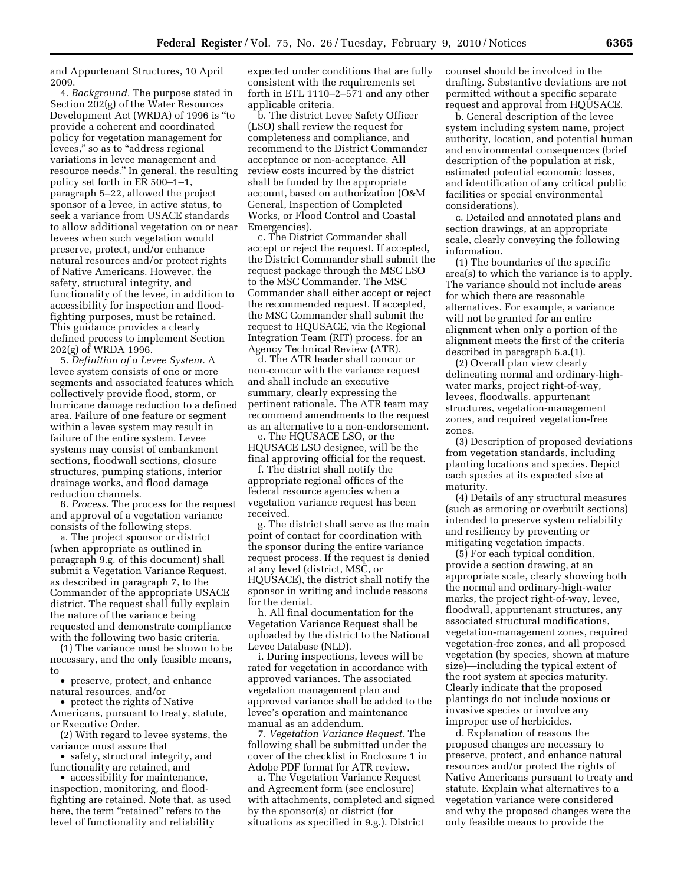and Appurtenant Structures, 10 April 2009.

4. *Background.* The purpose stated in Section 202(g) of the Water Resources Development Act (WRDA) of 1996 is ''to provide a coherent and coordinated policy for vegetation management for levees," so as to "address regional variations in levee management and resource needs.'' In general, the resulting policy set forth in ER 500–1–1, paragraph 5–22, allowed the project sponsor of a levee, in active status, to seek a variance from USACE standards to allow additional vegetation on or near levees when such vegetation would preserve, protect, and/or enhance natural resources and/or protect rights of Native Americans. However, the safety, structural integrity, and functionality of the levee, in addition to accessibility for inspection and floodfighting purposes, must be retained. This guidance provides a clearly defined process to implement Section 202(g) of WRDA 1996.

5. *Definition of a Levee System.* A levee system consists of one or more segments and associated features which collectively provide flood, storm, or hurricane damage reduction to a defined area. Failure of one feature or segment within a levee system may result in failure of the entire system. Levee systems may consist of embankment sections, floodwall sections, closure structures, pumping stations, interior drainage works, and flood damage reduction channels.

6. *Process.* The process for the request and approval of a vegetation variance consists of the following steps.

a. The project sponsor or district (when appropriate as outlined in paragraph 9.g. of this document) shall submit a Vegetation Variance Request, as described in paragraph 7, to the Commander of the appropriate USACE district. The request shall fully explain the nature of the variance being requested and demonstrate compliance with the following two basic criteria.

(1) The variance must be shown to be necessary, and the only feasible means, to

• preserve, protect, and enhance natural resources, and/or

• protect the rights of Native

Americans, pursuant to treaty, statute, or Executive Order.

(2) With regard to levee systems, the variance must assure that

• safety, structural integrity, and functionality are retained, and

• accessibility for maintenance, inspection, monitoring, and floodfighting are retained. Note that, as used here, the term "retained" refers to the level of functionality and reliability

expected under conditions that are fully consistent with the requirements set forth in ETL 1110–2–571 and any other applicable criteria.

b. The district Levee Safety Officer (LSO) shall review the request for completeness and compliance, and recommend to the District Commander acceptance or non-acceptance. All review costs incurred by the district shall be funded by the appropriate account, based on authorization (O&M General, Inspection of Completed Works, or Flood Control and Coastal Emergencies).

c. The District Commander shall accept or reject the request. If accepted, the District Commander shall submit the request package through the MSC LSO to the MSC Commander. The MSC Commander shall either accept or reject the recommended request. If accepted, the MSC Commander shall submit the request to HQUSACE, via the Regional Integration Team (RIT) process, for an Agency Technical Review (ATR).

d. The ATR leader shall concur or non-concur with the variance request and shall include an executive summary, clearly expressing the pertinent rationale. The ATR team may recommend amendments to the request as an alternative to a non-endorsement.

e. The HQUSACE LSO, or the HQUSACE LSO designee, will be the final approving official for the request.

f. The district shall notify the appropriate regional offices of the federal resource agencies when a vegetation variance request has been received.

g. The district shall serve as the main point of contact for coordination with the sponsor during the entire variance request process. If the request is denied at any level (district, MSC, or HQUSACE), the district shall notify the sponsor in writing and include reasons for the denial.

h. All final documentation for the Vegetation Variance Request shall be uploaded by the district to the National Levee Database (NLD).

i. During inspections, levees will be rated for vegetation in accordance with approved variances. The associated vegetation management plan and approved variance shall be added to the levee's operation and maintenance manual as an addendum.

7. *Vegetation Variance Request.* The following shall be submitted under the cover of the checklist in Enclosure 1 in Adobe PDF format for ATR review.

a. The Vegetation Variance Request and Agreement form (see enclosure) with attachments, completed and signed by the sponsor(s) or district (for situations as specified in 9.g.). District

counsel should be involved in the drafting. Substantive deviations are not permitted without a specific separate request and approval from HQUSACE.

b. General description of the levee system including system name, project authority, location, and potential human and environmental consequences (brief description of the population at risk, estimated potential economic losses, and identification of any critical public facilities or special environmental considerations).

c. Detailed and annotated plans and section drawings, at an appropriate scale, clearly conveying the following information.

(1) The boundaries of the specific area(s) to which the variance is to apply. The variance should not include areas for which there are reasonable alternatives. For example, a variance will not be granted for an entire alignment when only a portion of the alignment meets the first of the criteria described in paragraph 6.a.(1).

(2) Overall plan view clearly delineating normal and ordinary-highwater marks, project right-of-way, levees, floodwalls, appurtenant structures, vegetation-management zones, and required vegetation-free zones.

(3) Description of proposed deviations from vegetation standards, including planting locations and species. Depict each species at its expected size at maturity.

(4) Details of any structural measures (such as armoring or overbuilt sections) intended to preserve system reliability and resiliency by preventing or mitigating vegetation impacts.

(5) For each typical condition, provide a section drawing, at an appropriate scale, clearly showing both the normal and ordinary-high-water marks, the project right-of-way, levee, floodwall, appurtenant structures, any associated structural modifications, vegetation-management zones, required vegetation-free zones, and all proposed vegetation (by species, shown at mature size)—including the typical extent of the root system at species maturity. Clearly indicate that the proposed plantings do not include noxious or invasive species or involve any improper use of herbicides.

d. Explanation of reasons the proposed changes are necessary to preserve, protect, and enhance natural resources and/or protect the rights of Native Americans pursuant to treaty and statute. Explain what alternatives to a vegetation variance were considered and why the proposed changes were the only feasible means to provide the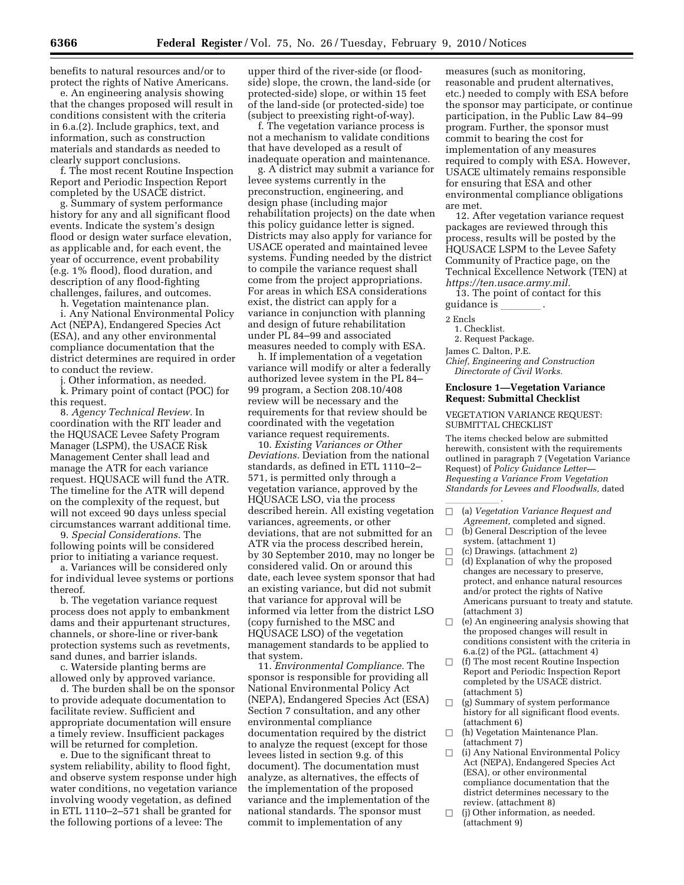benefits to natural resources and/or to protect the rights of Native Americans.

e. An engineering analysis showing that the changes proposed will result in conditions consistent with the criteria in 6.a.(2). Include graphics, text, and information, such as construction materials and standards as needed to clearly support conclusions.

f. The most recent Routine Inspection Report and Periodic Inspection Report completed by the USACE district.

g. Summary of system performance history for any and all significant flood events. Indicate the system's design flood or design water surface elevation, as applicable and, for each event, the year of occurrence, event probability (e.g. 1% flood), flood duration, and description of any flood-fighting challenges, failures, and outcomes.

h. Vegetation maintenance plan.

i. Any National Environmental Policy Act (NEPA), Endangered Species Act (ESA), and any other environmental compliance documentation that the district determines are required in order to conduct the review.

Other information, as needed. k. Primary point of contact (POC) for this request.

8. *Agency Technical Review.* In coordination with the RIT leader and the HQUSACE Levee Safety Program Manager (LSPM), the USACE Risk Management Center shall lead and manage the ATR for each variance request. HQUSACE will fund the ATR. The timeline for the ATR will depend on the complexity of the request, but will not exceed 90 days unless special circumstances warrant additional time.

9. *Special Considerations.* The following points will be considered prior to initiating a variance request.

a. Variances will be considered only for individual levee systems or portions thereof.

b. The vegetation variance request process does not apply to embankment dams and their appurtenant structures, channels, or shore-line or river-bank protection systems such as revetments, sand dunes, and barrier islands.

c. Waterside planting berms are allowed only by approved variance.

d. The burden shall be on the sponsor to provide adequate documentation to facilitate review. Sufficient and appropriate documentation will ensure a timely review. Insufficient packages will be returned for completion.

e. Due to the significant threat to system reliability, ability to flood fight, and observe system response under high water conditions, no vegetation variance involving woody vegetation, as defined in ETL 1110–2–571 shall be granted for the following portions of a levee: The

upper third of the river-side (or floodside) slope, the crown, the land-side (or protected-side) slope, or within 15 feet of the land-side (or protected-side) toe (subject to preexisting right-of-way).

f. The vegetation variance process is not a mechanism to validate conditions that have developed as a result of inadequate operation and maintenance.

g. A district may submit a variance for levee systems currently in the preconstruction, engineering, and design phase (including major rehabilitation projects) on the date when this policy guidance letter is signed. Districts may also apply for variance for USACE operated and maintained levee systems. Funding needed by the district to compile the variance request shall come from the project appropriations. For areas in which ESA considerations exist, the district can apply for a variance in conjunction with planning and design of future rehabilitation under PL 84–99 and associated measures needed to comply with ESA.

h. If implementation of a vegetation variance will modify or alter a federally authorized levee system in the PL 84– 99 program, a Section 208.10/408 review will be necessary and the requirements for that review should be coordinated with the vegetation variance request requirements.

10. *Existing Variances or Other Deviations.* Deviation from the national standards, as defined in ETL 1110–2– 571, is permitted only through a vegetation variance, approved by the HQUSACE LSO, via the process described herein. All existing vegetation variances, agreements, or other deviations, that are not submitted for an ATR via the process described herein, by 30 September 2010, may no longer be considered valid. On or around this date, each levee system sponsor that had an existing variance, but did not submit that variance for approval will be informed via letter from the district LSO (copy furnished to the MSC and HQUSACE LSO) of the vegetation management standards to be applied to that system.

11. *Environmental Compliance.* The sponsor is responsible for providing all National Environmental Policy Act (NEPA), Endangered Species Act (ESA) Section 7 consultation, and any other environmental compliance documentation required by the district to analyze the request (except for those levees listed in section 9.g. of this document). The documentation must analyze, as alternatives, the effects of the implementation of the proposed variance and the implementation of the national standards. The sponsor must commit to implementation of any

measures (such as monitoring, reasonable and prudent alternatives, etc.) needed to comply with ESA before the sponsor may participate, or continue participation, in the Public Law 84–99 program. Further, the sponsor must commit to bearing the cost for implementation of any measures required to comply with ESA. However, USACE ultimately remains responsible for ensuring that ESA and other environmental compliance obligations are met.

12. After vegetation variance request packages are reviewed through this process, results will be posted by the HQUSACE LSPM to the Levee Safety Community of Practice page, on the Technical Excellence Network (TEN) at *https://ten.usace.army.mil.* 

13. The point of contact for this guidance is

2 Encls

1. Checklist.

2. Request Package.

James C. Dalton, P.E.

*Chief, Engineering and Construction Directorate of Civil Works.* 

## **Enclosure 1—Vegetation Variance Request: Submittal Checklist**

### VEGETATION VARIANCE REQUEST: SUBMITTAL CHECKLIST

The items checked below are submitted herewith, consistent with the requirements outlined in paragraph 7 (Vegetation Variance Request) of *Policy Guidance Letter— Requesting a Variance From Vegetation Standards for Levees and Floodwalls,* dated

- $\frac{1}{\sqrt{2}}$ b (a) *Vegetation Variance Request and*
- *Agreement,* completed and signed.  $\Box$  (b) General Description of the levee
- system. (attachment 1)<br>(c) Drawings. (attachment 2)
- $\Box$  (c) Drawings. (attachment 2)<br> $\Box$  (d) Explanation of why the p  $\Box$  (d) Explanation of why the proposed<br>changes are pecessary to preserve changes are necessary to preserve, protect, and enhance natural resources and/or protect the rights of Native Americans pursuant to treaty and statute. (attachment 3)
- $\Box$  (e) An engineering analysis showing that the proposed changes will result in conditions consistent with the criteria in 6.a.(2) of the PGL. (attachment 4)
- $\Box$  (f) The most recent Routine Inspection Report and Periodic Inspection Report completed by the USACE district. (attachment 5)
- $\Box$  (g) Summary of system performance history for all significant flood events. (attachment 6)
- $\Box$  (h) Vegetation Maintenance Plan. (attachment 7)
- $\Box$  (i) Any National Environmental Policy Act (NEPA), Endangered Species Act (ESA), or other environmental compliance documentation that the district determines necessary to the review. (attachment 8)
- $\Box$  (j) Other information, as needed. (attachment 9)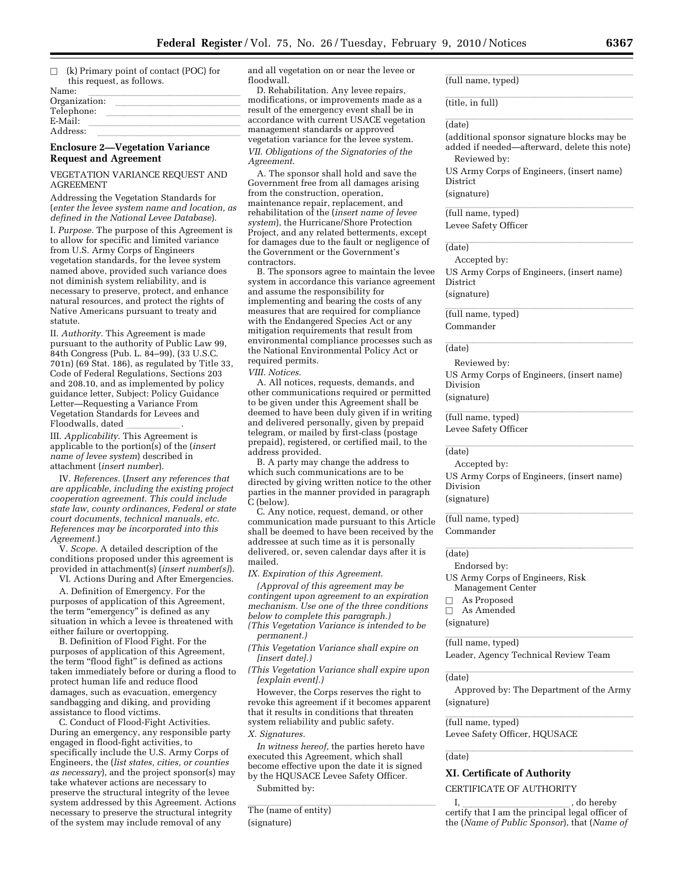$\Box$  (k) Primary point of contact (POC) for this request, as follows.

| Name:         |  |  |
|---------------|--|--|
| Organization: |  |  |
| Telephone:    |  |  |
| $E-Mail:$     |  |  |
| Address:      |  |  |
|               |  |  |

## **Enclosure 2—Vegetation Variance Request and Agreement**

VEGETATION VARIANCE REQUEST AND AGREEMENT

Addressing the Vegetation Standards for (*enter the levee system name and location, as defined in the National Levee Database*).

I. *Purpose.* The purpose of this Agreement is to allow for specific and limited variance from U.S. Army Corps of Engineers vegetation standards, for the levee system named above, provided such variance does not diminish system reliability, and is necessary to preserve, protect, and enhance natural resources, and protect the rights of Native Americans pursuant to treaty and statute.

II. *Authority.* This Agreement is made pursuant to the authority of Public Law 99, 84th Congress (Pub. L. 84–99), (33 U.S.C. 701n) (69 Stat. 186), as regulated by Title 33, Code of Federal Regulations, Sections 203 and 208.10, and as implemented by policy guidance letter, Subject: Policy Guidance Letter—Requesting a Variance From Vegetation Standards for Levees and

Floodwalls, dated \_\_\_\_\_\_\_\_\_\_\_\_.<br>III. *Applicability.* This Agreement is applicable to the portion(s) of the (*insert name of levee system*) described in attachment (*insert number*).

IV. *References.* (*Insert any references that are applicable, including the existing project cooperation agreement. This could include state law, county ordinances, Federal or state court documents, technical manuals, etc. References may be incorporated into this Agreement.*)

V. *Scope.* A detailed description of the conditions proposed under this agreement is provided in attachment(s) (*insert number(s)*). VI. Actions During and After Emergencies.

A. Definition of Emergency. For the purposes of application of this Agreement, the term "emergency" is defined as any situation in which a levee is threatened with either failure or overtopping.

B. Definition of Flood Fight. For the purposes of application of this Agreement, the term "flood fight" is defined as actions taken immediately before or during a flood to protect human life and reduce flood damages, such as evacuation, emergency sandbagging and diking, and providing assistance to flood victims.

C. Conduct of Flood-Fight Activities. During an emergency, any responsible party engaged in flood-fight activities, to specifically include the U.S. Army Corps of Engineers, the (*list states, cities, or counties as necessary*), and the project sponsor(s) may take whatever actions are necessary to preserve the structural integrity of the levee system addressed by this Agreement. Actions necessary to preserve the structural integrity of the system may include removal of any

and all vegetation on or near the levee or floodwall.

D. Rehabilitation. Any levee repairs, modifications, or improvements made as a result of the emergency event shall be in accordance with current USACE vegetation management standards or approved vegetation variance for the levee system. *VII. Obligations of the Signatories of the Agreement*.

A. The sponsor shall hold and save the Government free from all damages arising from the construction, operation, maintenance repair, replacement, and rehabilitation of the (*insert name of levee system*), the Hurricane/Shore Protection Project, and any related betterments, except for damages due to the fault or negligence of the Government or the Government's contractors.

B. The sponsors agree to maintain the levee system in accordance this variance agreement and assume the responsibility for implementing and bearing the costs of any measures that are required for compliance with the Endangered Species Act or any mitigation requirements that result from environmental compliance processes such as the National Environmental Policy Act or required permits.

*VIII. Notices*.

A. All notices, requests, demands, and other communications required or permitted to be given under this Agreement shall be deemed to have been duly given if in writing and delivered personally, given by prepaid telegram, or mailed by first-class (postage prepaid), registered, or certified mail, to the address provided.

B. A party may change the address to which such communications are to be directed by giving written notice to the other parties in the manner provided in paragraph C (below).

C. Any notice, request, demand, or other communication made pursuant to this Article shall be deemed to have been received by the addressee at such time as it is personally delivered, or, seven calendar days after it is mailed.

*IX. Expiration of this Agreement*.

*(Approval of this agreement may be contingent upon agreement to an expiration mechanism. Use one of the three conditions below to complete this paragraph.) (This Vegetation Variance is intended to be* 

*permanent.)* 

*(This Vegetation Variance shall expire on [insert date].)* 

*(This Vegetation Variance shall expire upon [explain event].)* 

However, the Corps reserves the right to revoke this agreement if it becomes apparent that it results in conditions that threaten system reliability and public safety.

*X. Signatures.* 

*In witness hereof,* the parties hereto have executed this Agreement, which shall become effective upon the date it is signed by the HQUSACE Levee Safety Officer. Submitted by:

The (name of entity) (signature)

(full name, typed)

#### $\sqrt{\frac{1}{2}}$ (date)

(additional sponsor signature blocks may be added if needed—afterward, delete this note) Reviewed by:

(title, in full)

US Army Corps of Engineers, (insert name) District

(signature)

(full name, typed) Levee Safety Officer

#### $\overline{\text{(date)}}$ (date)

Accepted by: US Army Corps of Engineers, (insert name) District (signature)

(full name, typed) Commander

# (date) and the contract of the contract of the contract of the contract of the contract of the contract of the contract of the contract of the contract of the contract of the contract of the contract of the contract of the

Reviewed by: US Army Corps of Engineers, (insert name) Division (signature)

(full name, typed) Levee Safety Officer

#### $\overline{\text{(data)}}$ (date)

Accepted by:

US Army Corps of Engineers, (insert name) Division (signature)

(full name, typed) Commander

(date) and the contract of the contract of the contract of the contract of the contract of the contract of the contract of the contract of the contract of the contract of the contract of the contract of the contract of the

Endorsed by:

US Army Corps of Engineers, Risk Management Center

- 
- $\square$  As Proposed<br> $\square$  As Amended  $\Box$  As Amended

(signature)

(full name, typed)

Leader, Agency Technical Review Team

#### $\overline{\text{(data)}}$ (date)

Approved by: The Department of the Army (signature)

# (full name, typed)

Levee Safety Officer, HQUSACE

#### $\overline{\text{(data)}}$ (date)

# **XI. Certificate of Authority**

CERTIFICATE OF AUTHORITY

I, I, do hereby certify that I am the principal legal officer of the (*Name of Public Sponsor*), that (*Name of*